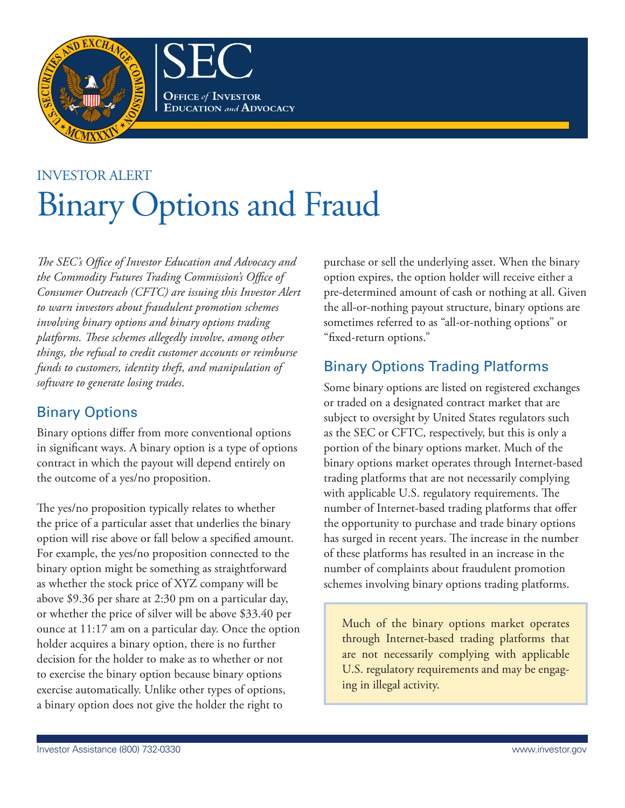

**OFFICE of INVESTOR EDUCATION** and **ADVOCACY** 

# Investor Alert **Binary Options and Fraud**

*The SEC's Office of Investor Education and Advocacy and the Commodity Futures Trading Commission's Office of Consumer Outreach (CFTC) are issuing this Investor Alert to warn investors about fraudulent promotion schemes involving binary options and binary options trading platforms. These schemes allegedly involve, among other things, the refusal to credit customer accounts or reimburse funds to customers, identity theft, and manipulation of software to generate losing trades*.

### Binary Options

Binary options differ from more conventional options in significant ways. A binary option is a type of options contract in which the payout will depend entirely on the outcome of a yes/no proposition.

The yes/no proposition typically relates to whether the price of a particular asset that underlies the binary option will rise above or fall below a specified amount. For example, the yes/no proposition connected to the binary option might be something as straightforward as whether the stock price of XYZ company will be above \$9.36 per share at 2:30 pm on a particular day, or whether the price of silver will be above \$33.40 per ounce at  $11:17$  am on a particular day. Once the option holder acquires a binary option, there is no further decision for the holder to make as to whether or not to exercise the binary option because binary options exercise automatically. Unlike other types of options, a binary option does not give the holder the right to

purchase or sell the underlying asset. When the binary option expires, the option holder will receive either a pre-determined amount of cash or nothing at all. Given the all-or-nothing payout structure, binary options are sometimes referred to as "all-or-nothing options" or "fixed-return options."

## Binary Options Trading Platforms

some binary options are listed on registered exchanges or traded on a designated contract market that are subject to oversight by United States regulators such as the SEC or CFTC, respectively, but this is only a portion of the binary options market. Much of the binary options market operates through Internet-based trading platforms that are not necessarily complying with applicable U.S. regulatory requirements. The number of Internet-based trading platforms that offer the opportunity to purchase and trade binary options has surged in recent years. The increase in the number of these platforms has resulted in an increase in the number of complaints about fraudulent promotion schemes involving binary options trading platforms.

Much of the binary options market operates through Internet-based trading platforms that are not necessarily complying with applicable U.S. regulatory requirements and may be engaging in illegal activity.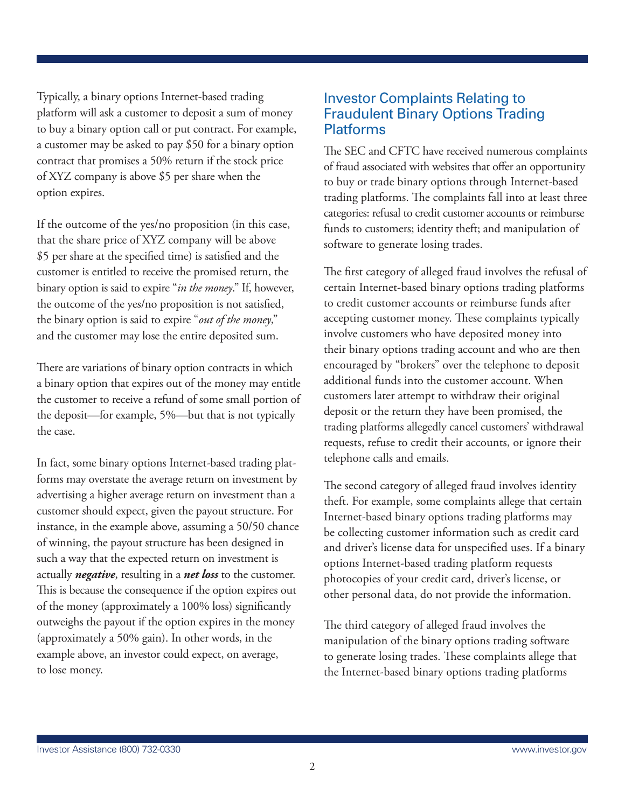typically, a binary options Internet-based trading platform will ask a customer to deposit a sum of money to buy a binary option call or put contract. For example, a customer may be asked to pay \$50 for a binary option contract that promises a 50% return if the stock price of XYZ company is above \$5 per share when the option expires.

If the outcome of the yes/no proposition (in this case, that the share price of XYZ company will be above \$5 per share at the specified time) is satisfied and the customer is entitled to receive the promised return, the binary option is said to expire "*in the money*." If, however, the outcome of the yes/no proposition is not satisfied, the binary option is said to expire "*out of the money*," and the customer may lose the entire deposited sum.

There are variations of binary option contracts in which a binary option that expires out of the money may entitle the customer to receive a refund of some small portion of the deposit—for example, 5%—but that is not typically the case.

In fact, some binary options Internet-based trading platforms may overstate the average return on investment by advertising a higher average return on investment than a customer should expect, given the payout structure. For instance, in the example above, assuming a 50/50 chance of winning, the payout structure has been designed in such a way that the expected return on investment is actually *negative*, resulting in a *net loss* to the customer. This is because the consequence if the option expires out of the money (approximately a 100% loss) significantly outweighs the payout if the option expires in the money (approximately a 50% gain). In other words, in the example above, an investor could expect, on average, to lose money.

#### Investor Complaints Relating to Platforms Fraudulent Binary Options Trading

The SEC and CFTC have received numerous complaints of fraud associated with websites that offer an opportunity to buy or trade binary options through Internet-based trading platforms. The complaints fall into at least three categories: refusal to credit customer accounts or reimburse funds to customers; identity theft; and manipulation of software to generate losing trades.

The first category of alleged fraud involves the refusal of certain Internet-based binary options trading platforms to credit customer accounts or reimburse funds after accepting customer money. These complaints typically involve customers who have deposited money into their binary options trading account and who are then encouraged by "brokers" over the telephone to deposit additional funds into the customer account. When customers later attempt to withdraw their original deposit or the return they have been promised, the trading platforms allegedly cancel customers' withdrawal requests, refuse to credit their accounts, or ignore their telephone calls and emails.

The second category of alleged fraud involves identity theft. For example, some complaints allege that certain Internet-based binary options trading platforms may be collecting customer information such as credit card and driver's license data for unspecified uses. If a binary options Internet-based trading platform requests photocopies of your credit card, driver's license, or other personal data, do not provide the information.

The third category of alleged fraud involves the manipulation of the binary options trading software to generate losing trades. These complaints allege that the Internet-based binary options trading platforms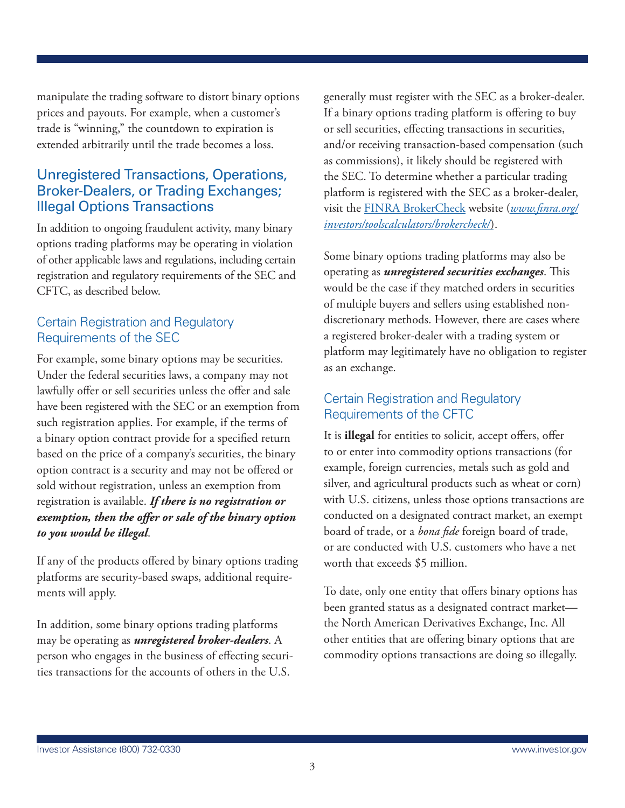manipulate the trading software to distort binary options prices and payouts. For example, when a customer's trade is "winning," the countdown to expiration is extended arbitrarily until the trade becomes a loss.

#### Unregistered Transactions, Operations, Broker-Dealers, or Trading Exchanges; Illegal Options Transactions

In addition to ongoing fraudulent activity, many binary options trading platforms may be operating in violation of other applicable laws and regulations, including certain registration and regulatory requirements of the SEC and CFTC, as described below.

#### Certain Registration and Regulatory Requirements of the SEC

For example, some binary options may be securities. Under the federal securities laws, a company may not lawfully offer or sell securities unless the offer and sale have been registered with the SEC or an exemption from such registration applies. For example, if the terms of a binary option contract provide for a specified return based on the price of a company's securities, the binary option contract is a security and may not be offered or sold without registration, unless an exemption from registration is available. *If there is no registration or exemption, then the offer or sale of the binary option to you would be illegal*.

If any of the products offered by binary options trading platforms are security-based swaps, additional requirements will apply.

In addition, some binary options trading platforms may be operating as *unregistered broker-dealers*. A person who engages in the business of effecting securities transactions for the accounts of others in the U.s.

generally must register with the seC as a broker-dealer. If a binary options trading platform is offering to buy or sell securities, effecting transactions in securities, and/or receiving transaction-based compensation (such as commissions), it likely should be registered with the SEC. To determine whether a particular trading platform is registered with the SEC as a broker-dealer, visit the [FInrA BrokerCheck](http://www.sec.gov/cgi-bin/goodbye.cgi?www.finra.org/brokercheck) website (*[www.finra.org/](http://www.sec.gov/cgi-bin/goodbye.cgi?www.finra.org/brokercheck) [investors/toolscalculators/brokercheck/](http://www.sec.gov/cgi-bin/goodbye.cgi?www.finra.org/brokercheck)*).

some binary options trading platforms may also be operating as *unregistered securities exchanges*. This would be the case if they matched orders in securities of multiple buyers and sellers using established nondiscretionary methods. However, there are cases where a registered broker-dealer with a trading system or platform may legitimately have no obligation to register as an exchange.

#### Certain Registration and Regulatory Requirements of the CFTC

It is **illegal** for entities to solicit, accept offers, offer to or enter into commodity options transactions (for example, foreign currencies, metals such as gold and silver, and agricultural products such as wheat or corn) with U.S. citizens, unless those options transactions are conducted on a designated contract market, an exempt board of trade, or a *bona fide* foreign board of trade, or are conducted with U.s. customers who have a net worth that exceeds \$5 million.

To date, only one entity that offers binary options has been granted status as a designated contract market the North American Derivatives Exchange, Inc. All other entities that are offering binary options that are commodity options transactions are doing so illegally.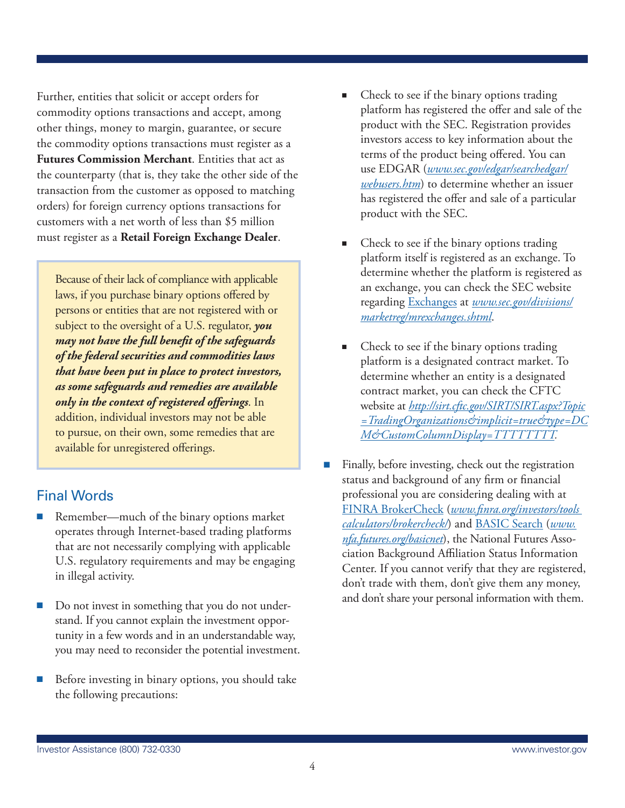Further, entities that solicit or accept orders for commodity options transactions and accept, among other things, money to margin, guarantee, or secure the commodity options transactions must register as a **Futures Commission Merchant**. Entities that act as the counterparty (that is, they take the other side of the transaction from the customer as opposed to matching orders) for foreign currency options transactions for customers with a net worth of less than \$5 million must register as a **Retail Foreign Exchange Dealer**.

Because of their lack of compliance with applicable laws, if you purchase binary options offered by persons or entities that are not registered with or subject to the oversight of a U.S. regulator, *you may not have the full benefit of the safeguards of the federal securities and commodities laws that have been put in place to protect investors, as some safeguards and remedies are available only in the context of registered offerings*. In addition, individual investors may not be able to pursue, on their own, some remedies that are available for unregistered offerings.

#### Final Words

- Remember—much of the binary options market operates through Internet-based trading platforms that are not necessarily complying with applicable U.S. regulatory requirements and may be engaging in illegal activity.
- Do not invest in something that you do not understand. If you cannot explain the investment opportunity in a few words and in an understandable way, you may need to reconsider the potential investment.
- Before investing in binary options, you should take the following precautions:
- Check to see if the binary options trading platform has registered the offer and sale of the product with the SEC. Registration provides investors access to key information about the terms of the product being offered. You can use [EDGAR](www.sec.gov/edgar.shtml) (*[www.sec.gov/edgar/searchedgar/](www.sec.gov/edgar.shtml) [webusers.htm](www.sec.gov/edgar.shtml)*) to determine whether an issuer has registered the offer and sale of a particular product with the SEC.
- Check to see if the binary options trading platform itself is registered as an exchange. To determine whether the platform is registered as an exchange, you can check the SEC website regarding [Exchanges](http://www.sec.gov/divisions/marketreg/mrexchanges.shtml) at *[www.sec.gov/divisions/](http://www.sec.gov/divisions/marketreg/mrexchanges.shtml) [marketreg/mrexchanges.shtml](http://www.sec.gov/divisions/marketreg/mrexchanges.shtml)*.
- Check to see if the binary options trading platform is a designated contract market. To determine whether an entity is a designated contract market, you can check the CFTC website at *[http://sirt.cftc.gov/SIRT/SIRT.aspx?Topic](http://sirt.cftc.gov/SIRT/SIRT.aspx?Topic=TradingOrganizations&implicit=true&type=DCM&CustomColumnDisplay=TTTTTTTT) [=TradingOrganizations&implicit=true&type=DC](http://sirt.cftc.gov/SIRT/SIRT.aspx?Topic=TradingOrganizations&implicit=true&type=DCM&CustomColumnDisplay=TTTTTTTT) [M&CustomColumnDisplay=TTTTTTTT](http://sirt.cftc.gov/SIRT/SIRT.aspx?Topic=TradingOrganizations&implicit=true&type=DCM&CustomColumnDisplay=TTTTTTTT).*
- Finally, before investing, check out the registration status and background of any firm or financial professional you are considering dealing with at [FINRA BrokerCheck](http://www.sec.gov/cgi-bin/goodbye.cgi?www.finra.org/brokercheck) (*[www.finra.org/investors/tools](http://www.sec.gov/cgi-bin/goodbye.cgi?www.finra.org/brokercheck)  [calculators/brokercheck/](http://www.sec.gov/cgi-bin/goodbye.cgi?www.finra.org/brokercheck)*) and [BASIC Search](http://sec.gov/cgi-bin/goodbye.cgi?www.nfa.futures.org/basicnet/) (*[www.](http://sec.gov/cgi-bin/goodbye.cgi?www.nfa.futures.org/basicnet/) [nfa.futures.org/basicnet](http://sec.gov/cgi-bin/goodbye.cgi?www.nfa.futures.org/basicnet/)*), the National Futures Association Background Affiliation Status Information Center. If you cannot verify that they are registered, don't trade with them, don't give them any money, and don't share your personal information with them.